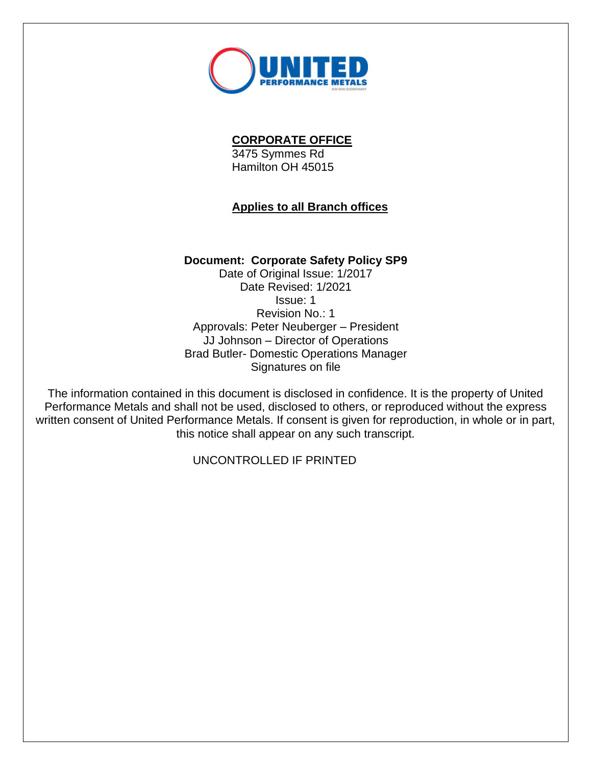

#### **CORPORATE OFFICE**

3475 Symmes Rd Hamilton OH 45015

# **Applies to all Branch offices**

## **Document: Corporate Safety Policy SP9**

Date of Original Issue: 1/2017 Date Revised: 1/2021 Issue: 1 Revision No.: 1 Approvals: Peter Neuberger – President JJ Johnson – Director of Operations Brad Butler- Domestic Operations Manager Signatures on file

The information contained in this document is disclosed in confidence. It is the property of United Performance Metals and shall not be used, disclosed to others, or reproduced without the express written consent of United Performance Metals. If consent is given for reproduction, in whole or in part, this notice shall appear on any such transcript.

### UNCONTROLLED IF PRINTED